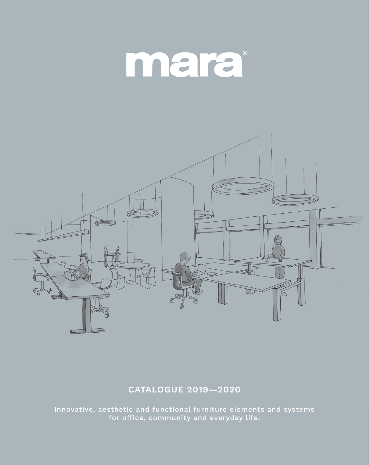# mara



### **CATALOGUE 2019—2020**

Innovative, aesthetic and functional furniture elements and systems for office, community and everyday life.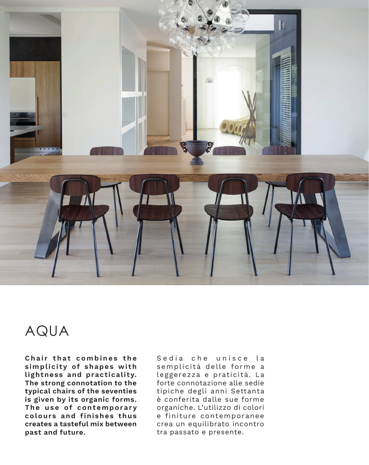

## AQUA

**Chair that combines the simplicity of shapes with lightness and practicality. The strong connotation to the typical chairs of the seventies is given by its organic forms. The use of contemporary colours and finishes thus creates a tasteful mix between past and future.**

Sedia che unisce la semplicità delle forme a leggerezza e praticità. La forte connotazione alle sedie tipiche degli anni Settanta è conferita dalle sue forme organiche. L'utilizzo di colori e finiture contemporanee crea un equilibrato incontro tra passato e presente.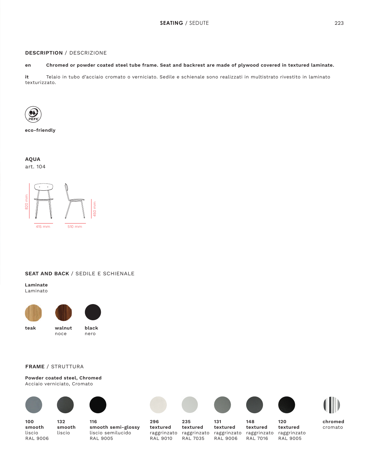#### **DESCRIPTION** / DESCRIZIONE

#### **en Chromed or powder coated steel tube frame. Seat and backrest are made of plywood covered in textured laminate.**

**it** Telaio in tubo d'acciaio cromato o verniciato. Sedile e schienale sono realizzati in multistrato rivestito in laminato texturizzato.



**eco-friendly**

#### **AQUA** art. 104



415 mm

**SEAT AND BACK** / SEDILE E SCHIENALE

510 mm

450 mm

#### **Laminate** Laminato





**teak walnut** noce

**black** nero

#### **FRAME** / STRUTTURA

**Powder coated steel, Chromed** Acciaio verniciato, Cromato



**100**

liscio RAL 9006





**116 smooth semi-glossy** liscio semilucido







**148**







RAL 9005

**296 textured** raggrinzato RAL 9010

**235 textured** raggrinzato RAL 7035

**131 textured** raggrinzato RAL 9006

**textured** raggrinzato RAL 7016 **120 textured** raggrinzato RAL 9005

**chromed** cromato